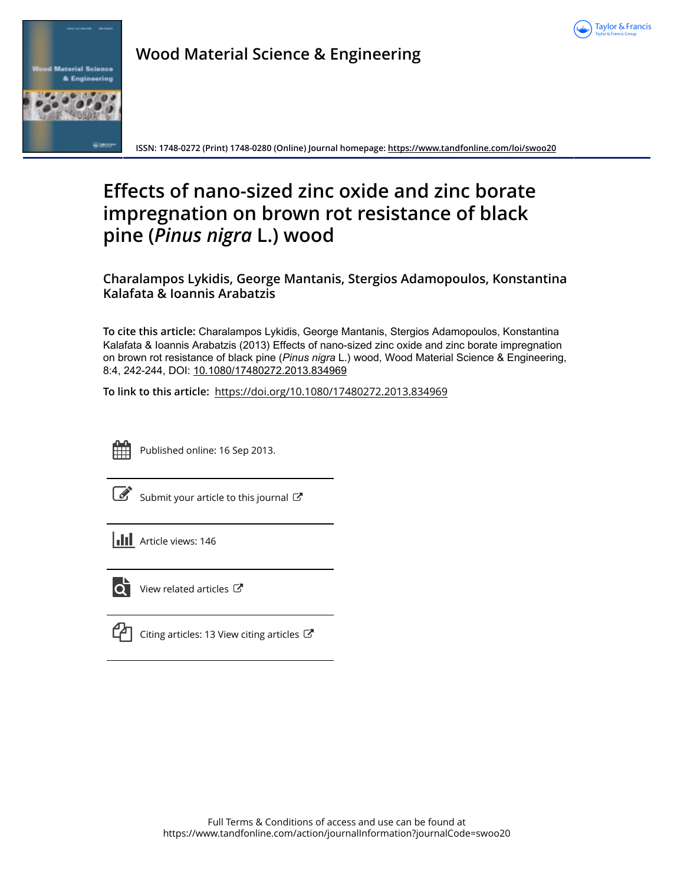



**Wood Material Science & Engineering**

**ISSN: 1748-0272 (Print) 1748-0280 (Online) Journal homepage:<https://www.tandfonline.com/loi/swoo20>**

# **Effects of nano-sized zinc oxide and zinc borate impregnation on brown rot resistance of black pine (***Pinus nigra* **L.) wood**

**Charalampos Lykidis, George Mantanis, Stergios Adamopoulos, Konstantina Kalafata & Ioannis Arabatzis**

**To cite this article:** Charalampos Lykidis, George Mantanis, Stergios Adamopoulos, Konstantina Kalafata & Ioannis Arabatzis (2013) Effects of nano-sized zinc oxide and zinc borate impregnation on brown rot resistance of black pine (*Pinus nigra* L.) wood, Wood Material Science & Engineering, 8:4, 242-244, DOI: [10.1080/17480272.2013.834969](https://www.tandfonline.com/action/showCitFormats?doi=10.1080/17480272.2013.834969)

**To link to this article:** <https://doi.org/10.1080/17480272.2013.834969>



Published online: 16 Sep 2013.

[Submit your article to this journal](https://www.tandfonline.com/action/authorSubmission?journalCode=swoo20&show=instructions)  $\mathbb{Z}$ 

**III** Article views: 146



 $\overline{\mathbf{Q}}$  [View related articles](https://www.tandfonline.com/doi/mlt/10.1080/17480272.2013.834969)  $\mathbf{C}$ 

 $\Box$  [Citing articles: 13 View citing articles](https://www.tandfonline.com/doi/citedby/10.1080/17480272.2013.834969#tabModule)  $\Box$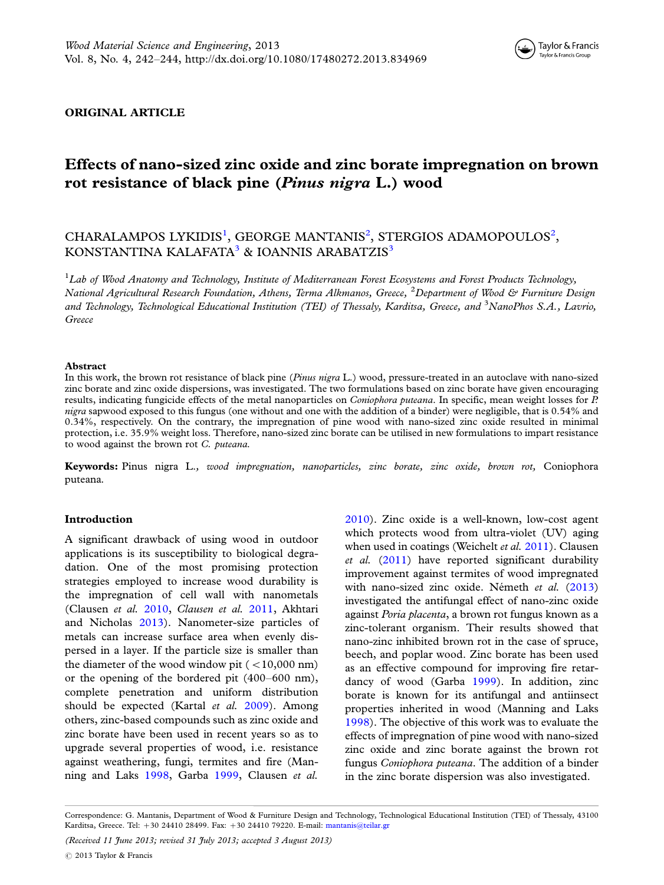

### ORIGINAL ARTICLE

# Effects of nano-sized zinc oxide and zinc borate impregnation on brown rot resistance of black pine (Pinus nigra L.) wood

# CHARALAMPOS LYKIDIS<sup>1</sup>, GEORGE MANTANIS<sup>2</sup>, STERGIOS ADAMOPOULOS<sup>2</sup>, KONSTANTINA KALAFATA<sup>3</sup> & IOANNIS ARABATZIS<sup>3</sup>

<sup>1</sup>Lab of Wood Anatomy and Technology, Institute of Mediterranean Forest Ecosystems and Forest Products Technology, National Agricultural Research Foundation, Athens, Terma Alkmanos, Greece, <sup>2</sup>Department of Wood & Furniture Design and Technology, Technological Educational Institution (TEI) of Thessaly, Karditsa, Greece, and <sup>3</sup>NanoPhos S.A., Lavrio, Greece

#### Abstract

In this work, the brown rot resistance of black pine (Pinus nigra L.) wood, pressure-treated in an autoclave with nano-sized zinc borate and zinc oxide dispersions, was investigated. The two formulations based on zinc borate have given encouraging results, indicating fungicide effects of the metal nanoparticles on *Coniophora puteana*. In specific, mean weight losses for P. nigra sapwood exposed to this fungus (one without and one with the addition of a binder) were negligible, that is 0.54% and 0.34%, respectively. On the contrary, the impregnation of pine wood with nano-sized zinc oxide resulted in minimal protection, i.e. 35.9% weight loss. Therefore, nano-sized zinc borate can be utilised in new formulations to impart resistance to wood against the brown rot C. puteana.

Keywords: Pinus nigra L., wood impregnation, nanoparticles, zinc borate, zinc oxide, brown rot, Coniophora puteana.

### Introduction

A significant drawback of using wood in outdoor applications is its susceptibility to biological degradation. One of the most promising protection strategies employed to increase wood durability is the impregnation of cell wall with nanometals (Clausen et al. [2010](#page-3-0), Clausen et al. [2011](#page-3-0), Akhtari and Nicholas [2013\)](#page-3-0). Nanometer-size particles of metals can increase surface area when evenly dispersed in a layer. If the particle size is smaller than the diameter of the wood window pit  $(<10,000$  nm) or the opening of the bordered pit (400-600 nm), complete penetration and uniform distribution should be expected (Kartal et al. [2009](#page-3-0)). Among others, zinc-based compounds such as zinc oxide and zinc borate have been used in recent years so as to upgrade several properties of wood, i.e. resistance against weathering, fungi, termites and fire (Manning and Laks [1998,](#page-3-0) Garba [1999](#page-3-0), Clausen et al.

[2010\)](#page-3-0). Zinc oxide is a well-known, low-cost agent which protects wood from ultra-violet (UV) aging when used in coatings (Weichelt et al. [2011\)](#page-3-0). Clausen  $et \ al.$  [\(2011](#page-3-0)) have reported significant durability improvement against termites of wood impregnated with nano-sized zinc oxide. Németh et al. [\(2013](#page-3-0)) investigated the antifungal effect of nano-zinc oxide against Poria placenta, a brown rot fungus known as a zinc-tolerant organism. Their results showed that nano-zinc inhibited brown rot in the case of spruce, beech, and poplar wood. Zinc borate has been used as an effective compound for improving fire retardancy of wood (Garba [1999\)](#page-3-0). In addition, zinc borate is known for its antifungal and antiinsect properties inherited in wood (Manning and Laks [1998\)](#page-3-0). The objective of this work was to evaluate the effects of impregnation of pine wood with nano-sized zinc oxide and zinc borate against the brown rot fungus Coniophora puteana. The addition of a binder in the zinc borate dispersion was also investigated.

Correspondence: G. Mantanis, Department of Wood & Furniture Design and Technology, Technological Educational Institution (TEI) of Thessaly, 43100 Karditsa, Greece. Tel: +30 24410 28499. Fax: +30 24410 79220. E-mail: [mantanis@teilar.gr](mailto:mantanis@teilar.gr)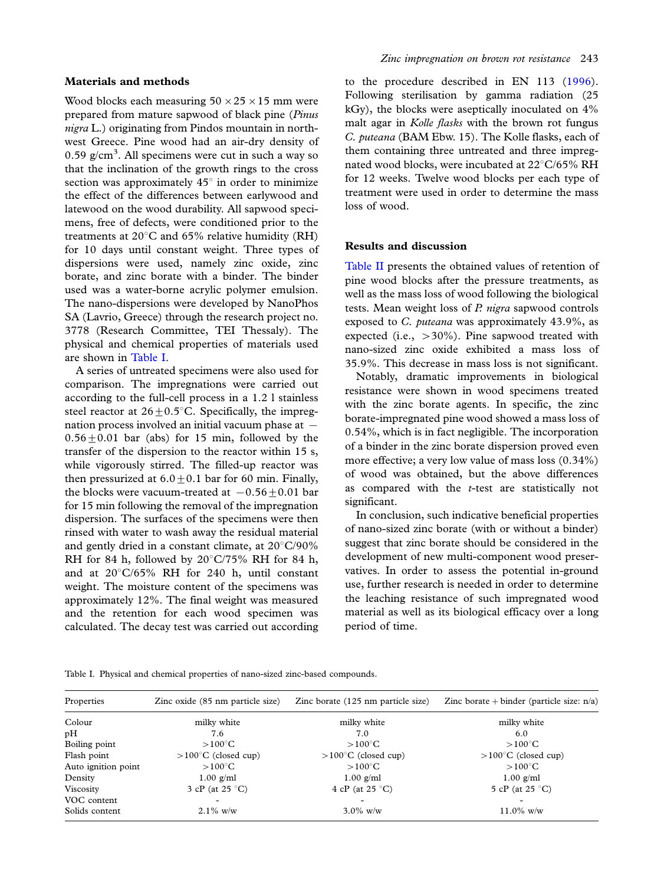#### Materials and methods

Wood blocks each measuring  $50 \times 25 \times 15$  mm were prepared from mature sapwood of black pine (Pinus nigra L.) originating from Pindos mountain in northwest Greece. Pine wood had an air-dry density of  $0.59$  g/cm<sup>3</sup>. All specimens were cut in such a way so that the inclination of the growth rings to the cross section was approximately  $45^\circ$  in order to minimize the effect of the differences between earlywood and latewood on the wood durability. All sapwood specimens, free of defects, were conditioned prior to the treatments at  $20^{\circ}$ C and 65% relative humidity (RH) for 10 days until constant weight. Three types of dispersions were used, namely zinc oxide, zinc borate, and zinc borate with a binder. The binder used was a water-borne acrylic polymer emulsion. The nano-dispersions were developed by NanoPhos SA (Lavrio, Greece) through the research project no. 3778 (Research Committee, TEI Thessaly). The physical and chemical properties of materials used are shown in Table I.

A series of untreated specimens were also used for comparison. The impregnations were carried out according to the full-cell process in a 1.2 l stainless steel reactor at  $26 \pm 0.5^{\circ}$ C. Specifically, the impregnation process involved an initial vacuum phase at  $0.56 \pm 0.01$  bar (abs) for 15 min, followed by the transfer of the dispersion to the reactor within 15 s, while vigorously stirred. The filled-up reactor was then pressurized at  $6.0 \pm 0.1$  bar for 60 min. Finally, the blocks were vacuum-treated at  $-0.56+0.01$  bar for 15 min following the removal of the impregnation dispersion. The surfaces of the specimens were then rinsed with water to wash away the residual material and gently dried in a constant climate, at  $20^{\circ}$ C/90% RH for 84 h, followed by  $20^{\circ}$ C/75% RH for 84 h, and at  $20^{\circ}$ C/65% RH for 240 h, until constant weight. The moisture content of the specimens was approximately 12%. The final weight was measured and the retention for each wood specimen was calculated. The decay test was carried out according

to the procedure described in EN 113 [\(1996](#page-3-0)). Following sterilisation by gamma radiation (25 kGy), the blocks were aseptically inoculated on 4% malt agar in Kolle flasks with the brown rot fungus C. puteana (BAM Ebw. 15). The Kolle flasks, each of them containing three untreated and three impregnated wood blocks, were incubated at  $22^{\circ}$ C/65% RH for 12 weeks. Twelve wood blocks per each type of treatment were used in order to determine the mass loss of wood.

## Results and discussion

[Table II](#page-3-0) presents the obtained values of retention of pine wood blocks after the pressure treatments, as well as the mass loss of wood following the biological tests. Mean weight loss of P. nigra sapwood controls exposed to C. puteana was approximately 43.9%, as expected (i.e.,  $>30\%$ ). Pine sapwood treated with nano-sized zinc oxide exhibited a mass loss of 35.9%. This decrease in mass loss is not significant.

Notably, dramatic improvements in biological resistance were shown in wood specimens treated with the zinc borate agents. In specific, the zinc borate-impregnated pine wood showed a mass loss of 0.54%, which is in fact negligible. The incorporation of a binder in the zinc borate dispersion proved even more effective; a very low value of mass loss (0.34%) of wood was obtained, but the above differences as compared with the  $t$ -test are statistically not significant.

In conclusion, such indicative beneficial properties of nano-sized zinc borate (with or without a binder) suggest that zinc borate should be considered in the development of new multi-component wood preservatives. In order to assess the potential in-ground use, further research is needed in order to determine the leaching resistance of such impregnated wood material as well as its biological efficacy over a long period of time.

Table I. Physical and chemical properties of nano-sized zinc-based compounds.

| Properties          | Zinc oxide (85 nm particle size) | Zinc borate (125 nm particle size) | Zinc borate + binder (particle size: $n/a$ ) |
|---------------------|----------------------------------|------------------------------------|----------------------------------------------|
| Colour              | milky white                      | milky white                        | milky white                                  |
| pH                  | 7.6                              | 7.0                                | 6.0                                          |
| Boiling point       | $>100^{\circ}$ C                 | $>100^{\circ}$ C                   | $>100^{\circ}$ C                             |
| Flash point         | $>100^{\circ}$ C (closed cup)    | $>100^{\circ}$ C (closed cup)      | $>100^{\circ}$ C (closed cup)                |
| Auto ignition point | $>100^{\circ}$ C                 | $>100^{\circ}$ C                   | $>100^{\circ}$ C                             |
| Density             | $1.00$ g/ml                      | $1.00$ g/ml                        | $1.00$ g/ml                                  |
| Viscosity           | 3 cP (at $25^{\circ}$ C)         | 4 cP (at $25^{\circ}$ C)           | 5 cP (at $25^{\circ}$ C)                     |
| VOC content         | ۰                                |                                    |                                              |
| Solids content      | $2.1\%$ w/w                      | $3.0\%$ w/w                        | $11.0\%$ w/w                                 |